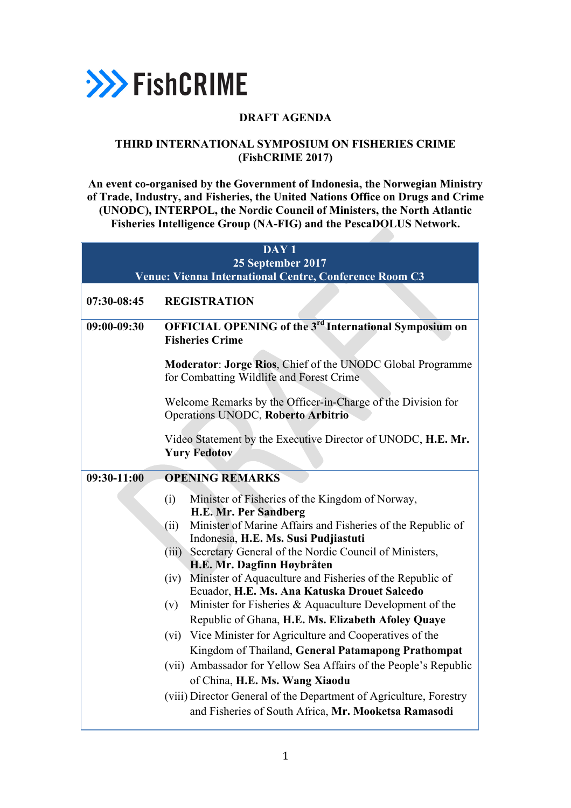

## **DRAFT AGENDA**

## **THIRD INTERNATIONAL SYMPOSIUM ON FISHERIES CRIME (FishCRIME 2017)**

**An event co-organised by the Government of Indonesia, the Norwegian Ministry of Trade, Industry, and Fisheries, the United Nations Office on Drugs and Crime (UNODC), INTERPOL, the Nordic Council of Ministers, the North Atlantic Fisheries Intelligence Group (NA-FIG) and the PescaDOLUS Network.**

|             | DAY <sub>1</sub><br>25 September 2017<br>Venue: Vienna International Centre, Conference Room C3                                                                                                                                                                                                                                                                                                                                                                                                                                                                                                                                                                                                                                                                                                                                                                                                          |
|-------------|----------------------------------------------------------------------------------------------------------------------------------------------------------------------------------------------------------------------------------------------------------------------------------------------------------------------------------------------------------------------------------------------------------------------------------------------------------------------------------------------------------------------------------------------------------------------------------------------------------------------------------------------------------------------------------------------------------------------------------------------------------------------------------------------------------------------------------------------------------------------------------------------------------|
| 07:30-08:45 | <b>REGISTRATION</b>                                                                                                                                                                                                                                                                                                                                                                                                                                                                                                                                                                                                                                                                                                                                                                                                                                                                                      |
| 09:00-09:30 | <b>OFFICIAL OPENING of the 3<sup>rd</sup> International Symposium on</b><br><b>Fisheries Crime</b>                                                                                                                                                                                                                                                                                                                                                                                                                                                                                                                                                                                                                                                                                                                                                                                                       |
|             | Moderator: Jorge Rios, Chief of the UNODC Global Programme<br>for Combatting Wildlife and Forest Crime                                                                                                                                                                                                                                                                                                                                                                                                                                                                                                                                                                                                                                                                                                                                                                                                   |
|             | Welcome Remarks by the Officer-in-Charge of the Division for<br>Operations UNODC, Roberto Arbitrio                                                                                                                                                                                                                                                                                                                                                                                                                                                                                                                                                                                                                                                                                                                                                                                                       |
|             | Video Statement by the Executive Director of UNODC, H.E. Mr.<br><b>Yury Fedotov</b>                                                                                                                                                                                                                                                                                                                                                                                                                                                                                                                                                                                                                                                                                                                                                                                                                      |
| 09:30-11:00 | <b>OPENING REMARKS</b>                                                                                                                                                                                                                                                                                                                                                                                                                                                                                                                                                                                                                                                                                                                                                                                                                                                                                   |
|             | Minister of Fisheries of the Kingdom of Norway,<br>(i)<br>H.E. Mr. Per Sandberg<br>Minister of Marine Affairs and Fisheries of the Republic of<br>(ii)<br>Indonesia, H.E. Ms. Susi Pudjiastuti<br>Secretary General of the Nordic Council of Ministers,<br>(iii)<br>H.E. Mr. Dagfinn Høybråten<br>Minister of Aquaculture and Fisheries of the Republic of<br>(iv)<br>Ecuador, H.E. Ms. Ana Katuska Drouet Salcedo<br>Minister for Fisheries $\&$ Aquaculture Development of the<br>(v)<br>Republic of Ghana, H.E. Ms. Elizabeth Afoley Quaye<br>Vice Minister for Agriculture and Cooperatives of the<br>(vi)<br>Kingdom of Thailand, General Patamapong Prathompat<br>(vii) Ambassador for Yellow Sea Affairs of the People's Republic<br>of China, H.E. Ms. Wang Xiaodu<br>(viii) Director General of the Department of Agriculture, Forestry<br>and Fisheries of South Africa, Mr. Mooketsa Ramasodi |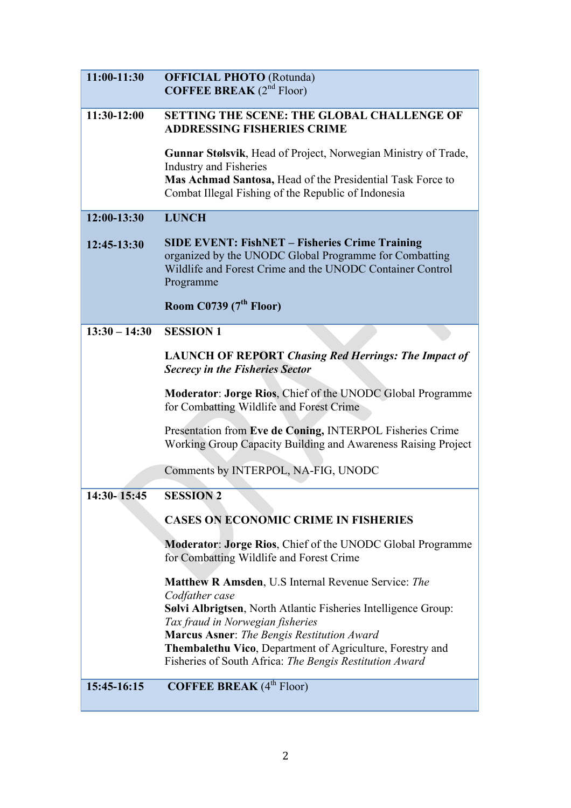| 11:00-11:30     | <b>OFFICIAL PHOTO</b> (Rotunda)<br><b>COFFEE BREAK</b> $(2^{nd}$ Floor)                                                                                                                                                                                                                                                                                         |
|-----------------|-----------------------------------------------------------------------------------------------------------------------------------------------------------------------------------------------------------------------------------------------------------------------------------------------------------------------------------------------------------------|
| $11:30-12:00$   | <b>SETTING THE SCENE: THE GLOBAL CHALLENGE OF</b><br><b>ADDRESSING FISHERIES CRIME</b>                                                                                                                                                                                                                                                                          |
|                 | Gunnar Stølsvik, Head of Project, Norwegian Ministry of Trade,<br><b>Industry and Fisheries</b><br>Mas Achmad Santosa, Head of the Presidential Task Force to<br>Combat Illegal Fishing of the Republic of Indonesia                                                                                                                                            |
| 12:00-13:30     | <b>LUNCH</b>                                                                                                                                                                                                                                                                                                                                                    |
| 12:45-13:30     | <b>SIDE EVENT: FishNET - Fisheries Crime Training</b><br>organized by the UNODC Global Programme for Combatting<br>Wildlife and Forest Crime and the UNODC Container Control<br>Programme                                                                                                                                                                       |
|                 | Room C0739 $(7th$ Floor)                                                                                                                                                                                                                                                                                                                                        |
| $13:30 - 14:30$ | <b>SESSION 1</b>                                                                                                                                                                                                                                                                                                                                                |
|                 | <b>LAUNCH OF REPORT Chasing Red Herrings: The Impact of</b><br><b>Secrecy in the Fisheries Sector</b>                                                                                                                                                                                                                                                           |
|                 | <b>Moderator: Jorge Rios, Chief of the UNODC Global Programme</b><br>for Combatting Wildlife and Forest Crime                                                                                                                                                                                                                                                   |
|                 | Presentation from Eve de Coning, INTERPOL Fisheries Crime<br>Working Group Capacity Building and Awareness Raising Project                                                                                                                                                                                                                                      |
|                 | Comments by INTERPOL, NA-FIG, UNODC                                                                                                                                                                                                                                                                                                                             |
| 14:30-15:45     | <b>SESSION 2</b>                                                                                                                                                                                                                                                                                                                                                |
|                 | <b>CASES ON ECONOMIC CRIME IN FISHERIES</b>                                                                                                                                                                                                                                                                                                                     |
|                 | <b>Moderator: Jorge Rios, Chief of the UNODC Global Programme</b><br>for Combatting Wildlife and Forest Crime                                                                                                                                                                                                                                                   |
|                 | <b>Matthew R Amsden, U.S Internal Revenue Service: The</b><br>Codfather case<br>Sølvi Albrigtsen, North Atlantic Fisheries Intelligence Group:<br>Tax fraud in Norwegian fisheries<br><b>Marcus Asner:</b> The Bengis Restitution Award<br>Thembalethu Vico, Department of Agriculture, Forestry and<br>Fisheries of South Africa: The Bengis Restitution Award |
| 15:45-16:15     | <b>COFFEE BREAK</b> (4 <sup>th</sup> Floor)                                                                                                                                                                                                                                                                                                                     |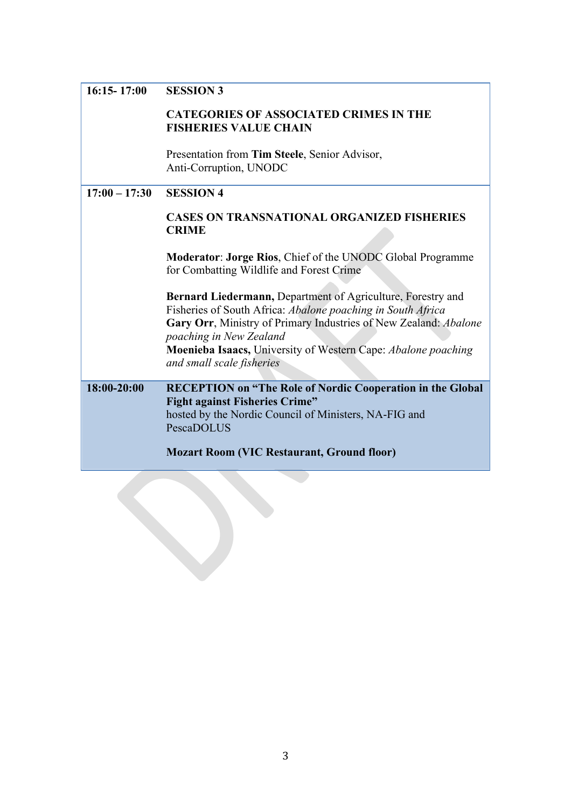| $16:15 - 17:00$ | <b>SESSION 3</b>                                                                                                                                                                                                          |
|-----------------|---------------------------------------------------------------------------------------------------------------------------------------------------------------------------------------------------------------------------|
|                 |                                                                                                                                                                                                                           |
|                 | <b>CATEGORIES OF ASSOCIATED CRIMES IN THE</b><br><b>FISHERIES VALUE CHAIN</b>                                                                                                                                             |
|                 | Presentation from Tim Steele, Senior Advisor,<br>Anti-Corruption, UNODC                                                                                                                                                   |
| $17:00 - 17:30$ | <b>SESSION 4</b>                                                                                                                                                                                                          |
|                 | <b>CASES ON TRANSNATIONAL ORGANIZED FISHERIES</b><br><b>CRIME</b>                                                                                                                                                         |
|                 | <b>Moderator: Jorge Rios, Chief of the UNODC Global Programme</b><br>for Combatting Wildlife and Forest Crime                                                                                                             |
|                 | Bernard Liedermann, Department of Agriculture, Forestry and<br>Fisheries of South Africa: Abalone poaching in South Africa<br>Gary Orr, Ministry of Primary Industries of New Zealand: Abalone<br>poaching in New Zealand |
|                 | Moenieba Isaacs, University of Western Cape: Abalone poaching<br>and small scale fisheries                                                                                                                                |
| 18:00-20:00     | <b>RECEPTION</b> on "The Role of Nordic Cooperation in the Global                                                                                                                                                         |
|                 | <b>Fight against Fisheries Crime"</b>                                                                                                                                                                                     |
|                 | hosted by the Nordic Council of Ministers, NA-FIG and<br>PescaDOLUS                                                                                                                                                       |
|                 | <b>Mozart Room (VIC Restaurant, Ground floor)</b>                                                                                                                                                                         |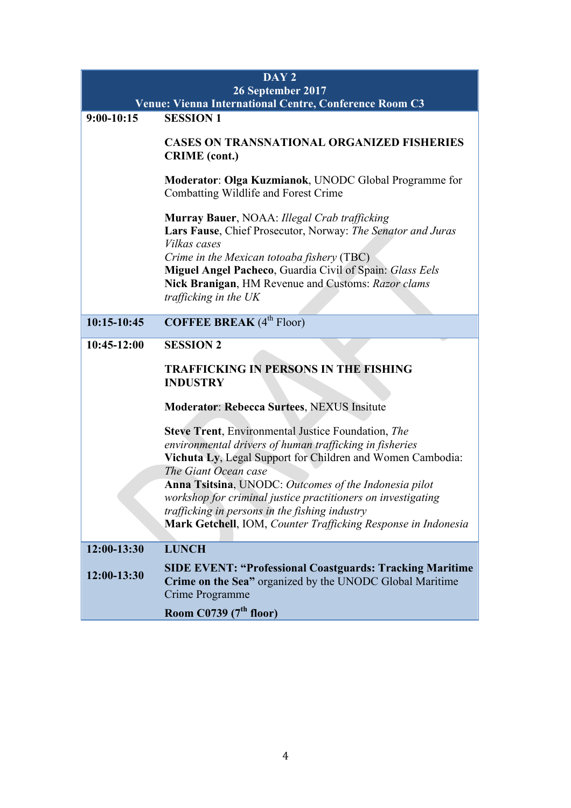|              | DAY <sub>2</sub>                                                                                                                                                                                                                                                                                                                                                                                                                                        |
|--------------|---------------------------------------------------------------------------------------------------------------------------------------------------------------------------------------------------------------------------------------------------------------------------------------------------------------------------------------------------------------------------------------------------------------------------------------------------------|
|              | 26 September 2017                                                                                                                                                                                                                                                                                                                                                                                                                                       |
|              | Venue: Vienna International Centre, Conference Room C3                                                                                                                                                                                                                                                                                                                                                                                                  |
| $9:00-10:15$ | <b>SESSION 1</b>                                                                                                                                                                                                                                                                                                                                                                                                                                        |
|              | <b>CASES ON TRANSNATIONAL ORGANIZED FISHERIES</b><br><b>CRIME</b> (cont.)                                                                                                                                                                                                                                                                                                                                                                               |
|              | Moderator: Olga Kuzmianok, UNODC Global Programme for<br>Combatting Wildlife and Forest Crime                                                                                                                                                                                                                                                                                                                                                           |
|              | Murray Bauer, NOAA: Illegal Crab trafficking<br>Lars Fause, Chief Prosecutor, Norway: The Senator and Juras<br>Vilkas cases<br>Crime in the Mexican totoaba fishery (TBC)<br><b>Miguel Angel Pacheco, Guardia Civil of Spain: Glass Eels</b><br>Nick Branigan, HM Revenue and Customs: Razor clams<br>trafficking in the UK                                                                                                                             |
| 10:15-10:45  | <b>COFFEE BREAK</b> (4 <sup>th</sup> Floor)                                                                                                                                                                                                                                                                                                                                                                                                             |
| 10:45-12:00  | <b>SESSION 2</b>                                                                                                                                                                                                                                                                                                                                                                                                                                        |
|              | <b>TRAFFICKING IN PERSONS IN THE FISHING</b><br><b>INDUSTRY</b>                                                                                                                                                                                                                                                                                                                                                                                         |
|              | <b>Moderator: Rebecca Surtees, NEXUS Insitute</b>                                                                                                                                                                                                                                                                                                                                                                                                       |
|              | <b>Steve Trent</b> , Environmental Justice Foundation, The<br>environmental drivers of human trafficking in fisheries<br>Vichuta Ly, Legal Support for Children and Women Cambodia:<br>The Giant Ocean case<br>Anna Tsitsina, UNODC: Outcomes of the Indonesia pilot<br>workshop for criminal justice practitioners on investigating<br>trafficking in persons in the fishing industry<br>Mark Getchell, IOM, Counter Trafficking Response in Indonesia |
| 12:00-13:30  | <b>LUNCH</b>                                                                                                                                                                                                                                                                                                                                                                                                                                            |
| 12:00-13:30  | <b>SIDE EVENT: "Professional Coastguards: Tracking Maritime</b><br>Crime on the Sea" organized by the UNODC Global Maritime<br>Crime Programme<br>Room C0739 (7 <sup>th</sup> floor)                                                                                                                                                                                                                                                                    |
|              |                                                                                                                                                                                                                                                                                                                                                                                                                                                         |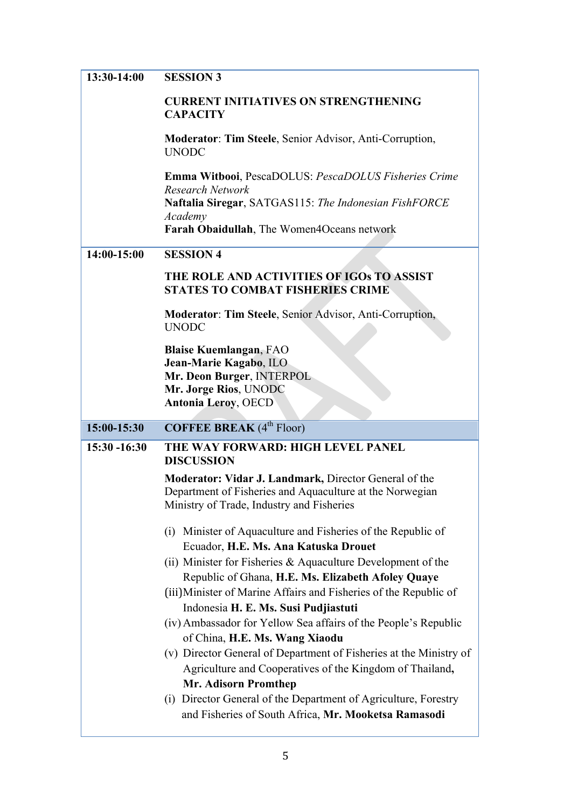| 13:30-14:00  | <b>SESSION 3</b>                                                                                                                                                                         |
|--------------|------------------------------------------------------------------------------------------------------------------------------------------------------------------------------------------|
|              | <b>CURRENT INITIATIVES ON STRENGTHENING</b><br><b>CAPACITY</b>                                                                                                                           |
|              | <b>Moderator: Tim Steele, Senior Advisor, Anti-Corruption,</b><br><b>UNODC</b>                                                                                                           |
|              | Emma Witbooi, PescaDOLUS: PescaDOLUS Fisheries Crime<br><b>Research Network</b><br>Naftalia Siregar, SATGAS115: The Indonesian FishFORCE                                                 |
|              | Academy<br>Farah Obaidullah, The Women4Oceans network                                                                                                                                    |
| 14:00-15:00  | <b>SESSION 4</b>                                                                                                                                                                         |
|              | THE ROLE AND ACTIVITIES OF IGOs TO ASSIST<br><b>STATES TO COMBAT FISHERIES CRIME</b>                                                                                                     |
|              | Moderator: Tim Steele, Senior Advisor, Anti-Corruption,<br><b>UNODC</b>                                                                                                                  |
|              | <b>Blaise Kuemlangan, FAO</b><br>Jean-Marie Kagabo, ILO<br>Mr. Deon Burger, INTERPOL<br>Mr. Jorge Rios, UNODC<br><b>Antonia Leroy, OECD</b>                                              |
|              |                                                                                                                                                                                          |
| 15:00-15:30  | <b>COFFEE BREAK</b> (4 <sup>th</sup> Floor)                                                                                                                                              |
| 15:30 -16:30 | THE WAY FORWARD: HIGH LEVEL PANEL<br><b>DISCUSSION</b>                                                                                                                                   |
|              | Moderator: Vidar J. Landmark, Director General of the<br>Department of Fisheries and Aquaculture at the Norwegian<br>Ministry of Trade, Industry and Fisheries                           |
|              | (i) Minister of Aquaculture and Fisheries of the Republic of                                                                                                                             |
|              | Ecuador, H.E. Ms. Ana Katuska Drouet<br>(ii) Minister for Fisheries & Aquaculture Development of the                                                                                     |
|              | Republic of Ghana, H.E. Ms. Elizabeth Afoley Quaye<br>(iii) Minister of Marine Affairs and Fisheries of the Republic of<br>Indonesia H. E. Ms. Susi Pudjiastuti                          |
|              | (iv) Ambassador for Yellow Sea affairs of the People's Republic                                                                                                                          |
|              | of China, H.E. Ms. Wang Xiaodu<br>(v) Director General of Department of Fisheries at the Ministry of<br>Agriculture and Cooperatives of the Kingdom of Thailand,<br>Mr. Adisorn Promthep |